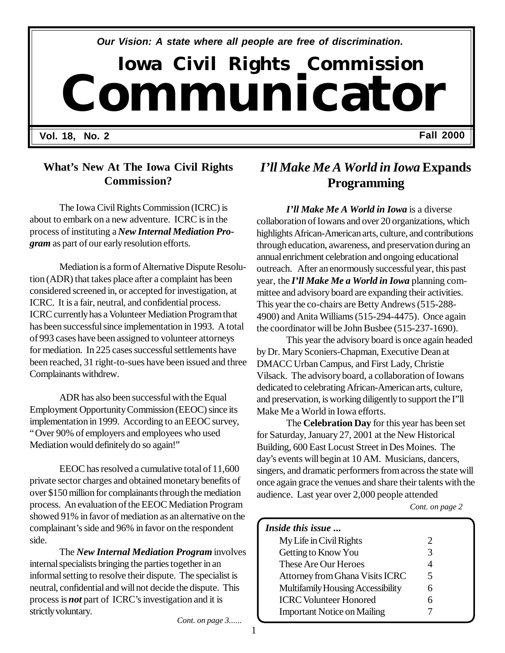*Our Vision: A state where all people are free of discrimination.*

# **Iowa Civil Rights Commission Communicator**

**Vol. 18, No. 2 Fall 2000**

#### **What's New At The Iowa Civil Rights Commission?**

The Iowa Civil Rights Commission (ICRC) is about to embark on a new adventure. ICRC is in the process of instituting a *New Internal Mediation Program* as part of our early resolution efforts.

Mediation is a form of Alternative Dispute Resolution (ADR) that takes place after a complaint has been considered screened in, or accepted for investigation, at ICRC. It is a fair, neutral, and confidential process. ICRC currently has a Volunteer Mediation Program that has been successful since implementation in 1993. A total of 993 cases have been assigned to volunteer attorneys for mediation. In 225 cases successful settlements have been reached, 31 right-to-sues have been issued and three Complainants withdrew.

ADR has also been successful with the Equal Employment Opportunity Commission (EEOC) since its implementation in 1999. According to an EEOC survey, "Over 90% of employers and employees who used Mediation would definitely do so again!"

EEOC has resolved a cumulative total of 11,600 private sector charges and obtained monetary benefits of over \$150 million for complainants through the mediation process. An evaluation of the EEOC Mediation Program showed 91% in favor of mediation as an alternative on the complainant's side and 96% in favor on the respondent side.

The *New Internal Mediation Program* involves internal specialists bringing the parties together in an informal setting to resolve their dispute. The specialist is neutral, confidential and will not decide the dispute. This process is *not* part of ICRC's investigation and it is strictly voluntary.

*Cont. on page 3......*

# *I'll Make Me A World in Iowa* **Expands Programming**

*I'll Make Me A World in Iowa* is a diverse collaboration of Iowans and over 20 organizations, which highlights African-American arts, culture, and contributions through education, awareness, and preservation during an annual enrichment celebration and ongoing educational outreach. After an enormously successful year, this past year, the *I'll Make Me a World in Iowa* planning committee and advisory board are expanding their activities. This year the co-chairs are Betty Andrews (515-288- 4900) and Anita Williams (515-294-4475). Once again the coordinator will be John Busbee (515-237-1690).

This year the advisory board is once again headed by Dr. Mary Sconiers-Chapman, Executive Dean at DMACC Urban Campus, and First Lady, Christie Vilsack. The advisory board, a collaboration of Iowans dedicated to celebrating African-American arts, culture, and preservation, is working diligently to support the I"ll Make Me a World in Iowa efforts.

The **Celebration Day** for this year has been set for Saturday, January 27, 2001 at the New Historical Building, 600 East Locust Street in Des Moines. The day's events will begin at 10 AM. Musicians, dancers, singers, and dramatic performers from across the state will once again grace the venues and share their talents with the audience. Last year over 2,000 people attended

 *Cont. on page 2*

| Inside this issue                  |                       |  |
|------------------------------------|-----------------------|--|
| My Life in Civil Rights            | $\mathcal{D}_{\cdot}$ |  |
| Getting to Know You                | 3                     |  |
| These Are Our Heroes               | 4                     |  |
| Attorney from Ghana Visits ICRC    | 5                     |  |
| Multifamily Housing Accessibility  | 6                     |  |
| <b>ICRC Volunteer Honored</b>      | 6                     |  |
| <b>Important Notice on Mailing</b> |                       |  |
|                                    |                       |  |

1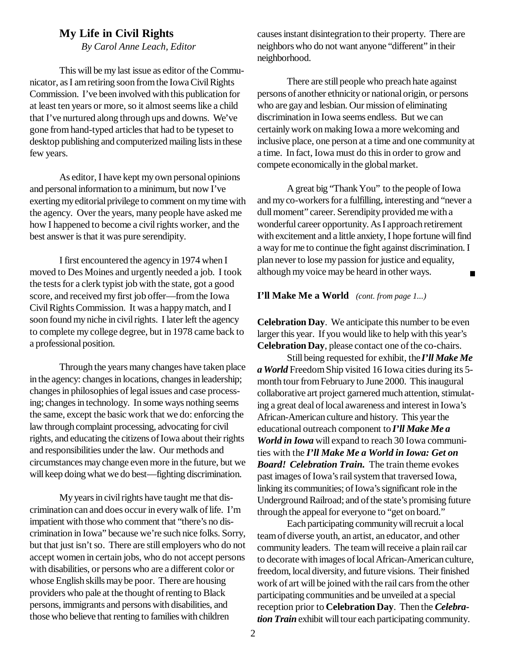#### **My Life in Civil Rights**

*By Carol Anne Leach, Editor*

This will be my last issue as editor of the Communicator, as I am retiring soon from the Iowa Civil Rights Commission. I've been involved with this publication for at least ten years or more, so it almost seems like a child that I've nurtured along through ups and downs. We've gone from hand-typed articles that had to be typeset to desktop publishing and computerized mailing lists in these few years.

As editor, I have kept my own personal opinions and personal information to a minimum, but now I've exerting my editorial privilege to comment on my time with the agency. Over the years, many people have asked me how I happened to become a civil rights worker, and the best answer is that it was pure serendipity.

I first encountered the agency in 1974 when I moved to Des Moines and urgently needed a job. I took the tests for a clerk typist job with the state, got a good score, and received my first job offer— from the Iowa Civil Rights Commission. It was a happy match, and I soon found my niche in civil rights. I later left the agency to complete my college degree, but in 1978 came back to a professional position.

Through the years many changes have taken place in the agency: changes in locations, changes in leadership; changes in philosophies of legal issues and case processing; changes in technology. In some ways nothing seems the same, except the basic work that we do: enforcing the law through complaint processing, advocating for civil rights, and educating the citizens of Iowa about their rights and responsibilities under the law. Our methods and circumstances may change even more in the future, but we will keep doing what we do best— fighting discrimination.

My years in civil rights have taught me that discrimination can and does occur in every walk of life. I'm impatient with those who comment that "there's no discrimination in Iowa" because we're such nice folks. Sorry, but that just isn't so. There are still employers who do not accept women in certain jobs, who do not accept persons with disabilities, or persons who are a different color or whose English skills may be poor. There are housing providers who pale at the thought of renting to Black persons, immigrants and persons with disabilities, and those who believe that renting to families with children

causes instant disintegration to their property. There are neighbors who do not want anyone "different" in their neighborhood.

There are still people who preach hate against persons of another ethnicity or national origin, or persons who are gay and lesbian. Our mission of eliminating discrimination in Iowa seems endless. But we can certainly work on making Iowa a more welcoming and inclusive place, one person at a time and one community at a time. In fact, Iowa must do this in order to grow and compete economically in the global market.

A great big "Thank You" to the people of Iowa and my co-workers for a fulfilling, interesting and "never a dull moment" career. Serendipity provided me with a wonderful career opportunity. As I approach retirement with excitement and a little anxiety, I hope fortune will find a way for me to continue the fight against discrimination. I plan never to lose my passion for justice and equality, although my voice may be heard in other ways. $\blacksquare$ 

#### **I'll Make Me a World** *(cont. from page 1...)*

**Celebration Day**. We anticipate this number to be even larger this year. If you would like to help with this year's **Celebration Day**, please contact one of the co-chairs.

Still being requested for exhibit, the *I'll Make Me a World* Freedom Ship visited 16 Iowa cities during its 5 month tour from February to June 2000. This inaugural collaborative art project garnered much attention, stimulating a great deal of local awareness and interest in Iowa's African-American culture and history. This year the educational outreach component to *I'll Make Me a World in Iowa* will expand to reach 30 Iowa communities with the *I'll Make Me a World in Iowa: Get on Board! Celebration Train.* The train theme evokes past images of Iowa's rail system that traversed Iowa, linking its communities; of Iowa's significant role in the Underground Railroad; and of the state's promising future through the appeal for everyone to "get on board."

Each participating community will recruit a local team of diverse youth, an artist, an educator, and other community leaders. The team will receive a plain rail car to decorate with images of local African-American culture, freedom, local diversity, and future visions. Their finished work of art will be joined with the rail cars from the other participating communities and be unveiled at a special reception prior to **Celebration Day**. Then the *Celebration Train* exhibit will tour each participating community.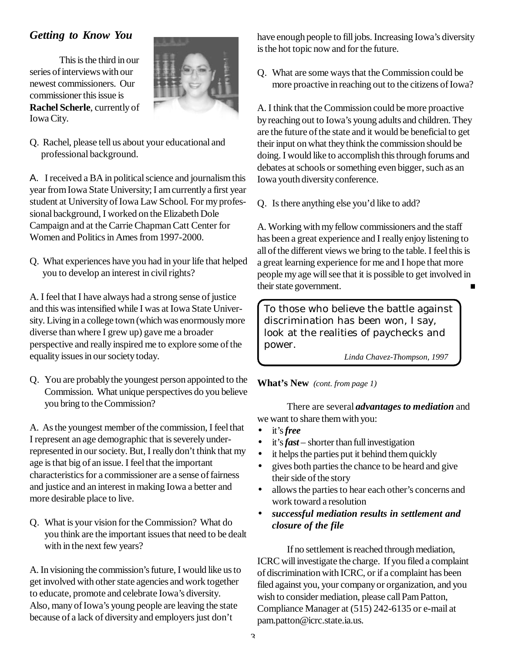#### *Getting to Know You*

This is the third in our series of interviews with our newest commissioners. Our commissioner this issue is **Rachel Scherle**, currently of Iowa City.



Q. Rachel, please tell us about your educational and professional background.

A. I received a BA in political science and journalism this year from Iowa State University; I am currently a first year student at University of Iowa Law School. For my professional background, I worked on the Elizabeth Dole Campaign and at the Carrie Chapman Catt Center for Women and Politics in Ames from 1997-2000.

Q. What experiences have you had in your life that helped you to develop an interest in civil rights?

A. I feel that I have always had a strong sense of justice and this was intensified while I was at Iowa State University. Living in a college town (which was enormously more diverse than where I grew up) gave me a broader perspective and really inspired me to explore some of the equality issues in our society today.

Q. You are probably the youngest person appointed to the Commission. What unique perspectives do you believe you bring to the Commission?

A. As the youngest member of the commission, I feel that I represent an age demographic that is severely underrepresented in our society. But, I really don't think that my age is that big of an issue. I feel that the important characteristics for a commissioner are a sense of fairness and justice and an interest in making Iowa a better and more desirable place to live.

Q. What is your vision for the Commission? What do you think are the important issues that need to be dealt with in the next few years?

A. In visioning the commission's future, I would like us to get involved with other state agencies and work together to educate, promote and celebrate Iowa's diversity. Also, many of Iowa's young people are leaving the state because of a lack of diversity and employers just don't

have enough people to fill jobs. Increasing Iowa's diversity is the hot topic now and for the future.

Q. What are some ways that the Commission could be more proactive in reaching out to the citizens of Iowa?

A. I think that the Commission could be more proactive by reaching out to Iowa's young adults and children. They are the future of the state and it would be beneficial to get their input on what they think the commission should be doing. I would like to accomplish this through forums and debates at schools or something even bigger, such as an Iowa youth diversity conference.

Q. Is there anything else you'd like to add?

A. Working with my fellow commissioners and the staff has been a great experience and I really enjoy listening to all of the different views we bring to the table. I feel this is a great learning experience for me and I hope that more people my age will see that it is possible to get involved in their state government.

To those who believe the battle against discrimination has been won, I say, look at the realities of paychecks and power.

*Linda Chavez-Thompson, 1997*

#### **What's New** *(cont. from page 1)*

There are several *advantages to mediation* and we want to share them with you:

- it's *free*
- it's *fast*  shorter than full investigation
- it helps the parties put it behind them quickly
- gives both parties the chance to be heard and give their side of the story
- allows the parties to hear each other's concerns and work toward a resolution
- *successful mediation results in settlement and closure of the file*

If no settlement is reached through mediation, ICRC will investigate the charge. If you filed a complaint of discrimination with ICRC, or if a complaint has been filed against you, your company or organization, and you wish to consider mediation, please call Pam Patton, Compliance Manager at (515) 242-6135 or e-mail at pam.patton@icrc.state.ia.us.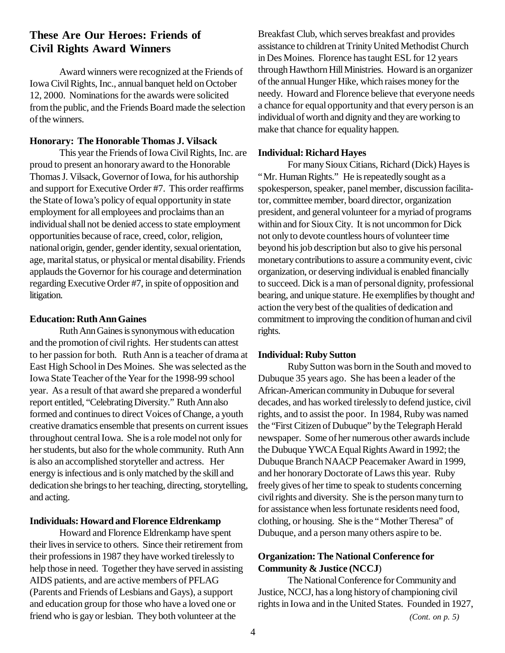#### **These Are Our Heroes: Friends of Civil Rights Award Winners**

Award winners were recognized at the Friends of Iowa Civil Rights, Inc., annual banquet held on October 12, 2000. Nominations for the awards were solicited from the public, and the Friends Board made the selection of the winners.

#### **Honorary: The Honorable Thomas J. Vilsack**

This year the Friends of Iowa Civil Rights, Inc. are proud to present an honorary award to the Honorable Thomas J. Vilsack, Governor of Iowa, for his authorship and support for Executive Order #7. This order reaffirms the State of Iowa's policy of equal opportunity in state employment for all employees and proclaims than an individual shall not be denied access to state employment opportunities because of race, creed, color, religion, national origin, gender, gender identity, sexual orientation, age, marital status, or physical or mental disability. Friends applauds the Governor for his courage and determination regarding Executive Order #7, in spite of opposition and litigation.

#### **Education: Ruth Ann Gaines**

Ruth Ann Gaines is synonymous with education and the promotion of civil rights. Her students can attest to her passion for both. Ruth Ann is a teacher of drama at East High School in Des Moines. She was selected as the Iowa State Teacher of the Year for the 1998-99 school year. As a result of that award she prepared a wonderful report entitled, "Celebrating Diversity." Ruth Ann also formed and continues to direct Voices of Change, a youth creative dramatics ensemble that presents on current issues throughout central Iowa. She is a role model not only for her students, but also for the whole community. Ruth Ann is also an accomplished storyteller and actress. Her energy is infectious and is only matched by the skill and dedication she brings to her teaching, directing, storytelling, and acting.

#### **Individuals: Howard and Florence Eldrenkamp**

Howard and Florence Eldrenkamp have spent their lives in service to others. Since their retirement from their professions in 1987 they have worked tirelessly to help those in need. Together they have served in assisting AIDS patients, and are active members of PFLAG (Parents and Friends of Lesbians and Gays), a support and education group for those who have a loved one or friend who is gay or lesbian. They both volunteer at the

Breakfast Club, which serves breakfast and provides assistance to children at Trinity United Methodist Church in Des Moines. Florence has taught ESL for 12 years through Hawthorn Hill Ministries. Howard is an organizer of the annual Hunger Hike, which raises money for the needy. Howard and Florence believe that everyone needs a chance for equal opportunity and that every person is an individual of worth and dignity and they are working to make that chance for equality happen.

#### **Individual: Richard Hayes**

For many Sioux Citians, Richard (Dick) Hayes is "Mr. Human Rights." He is repeatedly sought as a spokesperson, speaker, panel member, discussion facilitator, committee member, board director, organization president, and general volunteer for a myriad of programs within and for Sioux City. It is not uncommon for Dick not only to devote countless hours of volunteer time beyond his job description but also to give his personal monetary contributions to assure a community event, civic organization, or deserving individual is enabled financially to succeed. Dick is a man of personal dignity, professional bearing, and unique stature. He exemplifies by thought and action the very best of the qualities of dedication and commitment to improving the condition of human and civil rights.

#### **Individual: Ruby Sutton**

Ruby Sutton was born in the South and moved to Dubuque 35 years ago. She has been a leader of the African-American community in Dubuque for several decades, and has worked tirelessly to defend justice, civil rights, and to assist the poor. In 1984, Ruby was named the "First Citizen of Dubuque" by the Telegraph Herald newspaper. Some of her numerous other awards include the Dubuque YWCA Equal Rights Award in 1992; the Dubuque Branch NAACP Peacemaker Award in 1999, and her honorary Doctorate of Laws this year. Ruby freely gives of her time to speak to students concerning civil rights and diversity. She is the person many turn to for assistance when less fortunate residents need food, clothing, or housing. She is the "Mother Theresa" of Dubuque, and a person many others aspire to be.

#### **Organization: The National Conference for Community & Justice (NCCJ**)

The National Conference for Community and Justice, NCCJ, has a long history of championing civil rights in Iowa and in the United States. Founded in 1927,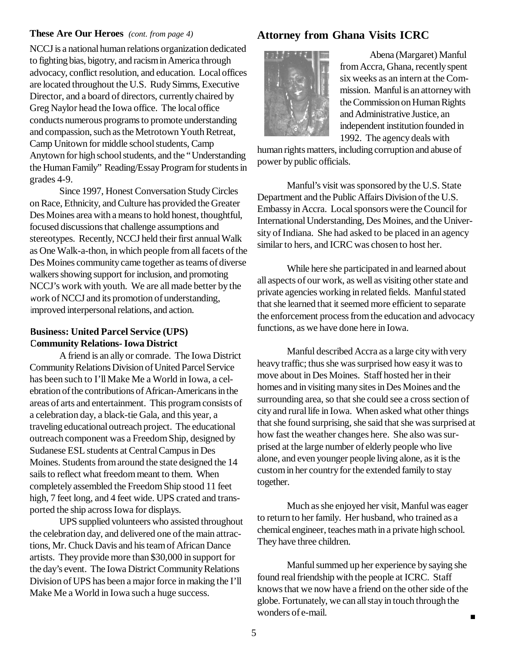NCCJ is a national human relations organization dedicated to fighting bias, bigotry, and racism in America through advocacy, conflict resolution, and education. Local offices are located throughout the U.S. Rudy Simms, Executive Director, and a board of directors, currently chaired by Greg Naylor head the Iowa office. The local office conducts numerous programs to promote understanding and compassion, such as the Metrotown Youth Retreat, Camp Unitown for middle school students, Camp Anytown for high school students, and the "Understanding the Human Family" Reading/Essay Program for students in grades 4-9.

Since 1997, Honest Conversation Study Circles on Race, Ethnicity, and Culture has provided the Greater Des Moines area with a means to hold honest, thoughtful, focused discussions that challenge assumptions and stereotypes. Recently, NCCJ held their first annual Walk as One Walk-a-thon, in which people from all facets of the Des Moines community came together as teams of diverse walkers showing support for inclusion, and promoting NCCJ's work with youth. We are all made better by the work of NCCJ and its promotion of understanding, improved interpersonal relations, and action.

#### **Business: United Parcel Service (UPS) Community Relations- Iowa District**

A friend is an ally or comrade. The Iowa District Community Relations Division of United Parcel Service has been such to I'll Make Me a World in Iowa, a celebration of the contributions of African-Americans in the areas of arts and entertainment. This program consists of a celebration day, a black-tie Gala, and this year, a traveling educational outreach project. The educational outreach component was a Freedom Ship, designed by Sudanese ESL students at Central Campus in Des Moines. Students from around the state designed the 14 sails to reflect what freedom meant to them. When completely assembled the Freedom Ship stood 11 feet high, 7 feet long, and 4 feet wide. UPS crated and transported the ship across Iowa for displays.

UPS supplied volunteers who assisted throughout the celebration day, and delivered one of the main attractions, Mr. Chuck Davis and his team of African Dance artists. They provide more than \$30,000 in support for the day's event. The Iowa District Community Relations Division of UPS has been a major force in making the I'll Make Me a World in Iowa such a huge success.

#### **These Are Our Heroes** *(cont. from page 4)* **Attorney from Ghana Visits ICRC**



Abena (Margaret) Manful from Accra, Ghana, recently spent six weeks as an intern at the Commission. Manful is an attorney with the Commission on Human Rights and Administrative Justice, an independent institution founded in 1992. The agency deals with

human rights matters, including corruption and abuse of power by public officials.

Manful's visit was sponsored by the U.S. State Department and the Public Affairs Division of the U.S. Embassy in Accra. Local sponsors were the Council for International Understanding, Des Moines, and the University of Indiana. She had asked to be placed in an agency similar to hers, and ICRC was chosen to host her.

While here she participated in and learned about all aspects of our work, as well as visiting other state and private agencies working in related fields. Manful stated that she learned that it seemed more efficient to separate the enforcement process from the education and advocacy functions, as we have done here in Iowa.

Manful described Accra as a large city with very heavy traffic; thus she was surprised how easy it was to move about in Des Moines. Staff hosted her in their homes and in visiting many sites in Des Moines and the surrounding area, so that she could see a cross section of city and rural life in Iowa. When asked what other things that she found surprising, she said that she was surprised at how fast the weather changes here. She also was surprised at the large number of elderly people who live alone, and even younger people living alone, as it is the custom in her country for the extended family to stay together.

Much as she enjoyed her visit, Manful was eager to return to her family. Her husband, who trained as a chemical engineer, teaches math in a private high school. They have three children.

Manful summed up her experience by saying she found real friendship with the people at ICRC. Staff knows that we now have a friend on the other side of the globe. Fortunately, we can all stay in touch through the wonders of e-mail.

 $\blacksquare$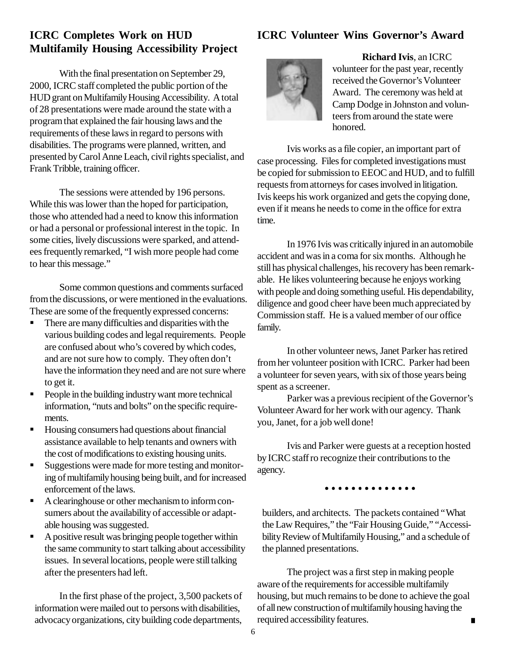#### **ICRC Completes Work on HUD Multifamily Housing Accessibility Project**

With the final presentation on September 29, 2000, ICRC staff completed the public portion of the HUD grant on Multifamily Housing Accessibility. A total of 28 presentations were made around the state with a program that explained the fair housing laws and the requirements of these laws in regard to persons with disabilities. The programs were planned, written, and presented by Carol Anne Leach, civil rights specialist, and Frank Tribble, training officer.

The sessions were attended by 196 persons. While this was lower than the hoped for participation, those who attended had a need to know this information or had a personal or professional interest in the topic. In some cities, lively discussions were sparked, and attendees frequently remarked, "I wish more people had come to hear this message."

Some common questions and comments surfaced from the discussions, or were mentioned in the evaluations. These are some of the frequently expressed concerns:

- There are many difficulties and disparities with the various building codes and legal requirements. People are confused about who's covered by which codes, and are not sure how to comply. They often don't have the information they need and are not sure where to get it.
- People in the building industry want more technical information, "nuts and bolts" on the specific requirements.
- Housing consumers had questions about financial assistance available to help tenants and owners with the cost of modifications to existing housing units.
- Suggestions were made for more testing and monitoring of multifamily housing being built, and for increased enforcement of the laws.
- A clearinghouse or other mechanism to inform consumers about the availability of accessible or adaptable housing was suggested.
- $\blacksquare$  A positive result was bringing people together within the same community to start talking about accessibility issues. In several locations, people were still talking after the presenters had left.

In the first phase of the project, 3,500 packets of information were mailed out to persons with disabilities, advocacy organizations, city building code departments,

## **ICRC Volunteer Wins Governor's Award**



**Richard Ivis**, an ICRC volunteer for the past year, recently received the Governor's Volunteer Award. The ceremony was held at Camp Dodge in Johnston and volunteers from around the state were honored.

Ivis works as a file copier, an important part of case processing. Files for completed investigations must be copied for submission to EEOC and HUD, and to fulfill requests from attorneys for cases involved in litigation. Ivis keeps his work organized and gets the copying done, even if it means he needs to come in the office for extra time.

In 1976 Ivis was critically injured in an automobile accident and was in a coma for six months. Although he still has physical challenges, his recovery has been remarkable. He likes volunteering because he enjoys working with people and doing something useful. His dependability, diligence and good cheer have been much appreciated by Commission staff. He is a valued member of our office family.

In other volunteer news, Janet Parker has retired from her volunteer position with ICRC. Parker had been a volunteer for seven years, with six of those years being spent as a screener.

Parker was a previous recipient of the Governor's Volunteer Award for her work with our agency. Thank you, Janet, for a job well done!

Ivis and Parker were guests at a reception hosted by ICRC staff ro recognize their contributions to the agency.

. . . . . . . . . . . . . .

builders, and architects. The packets contained "What the Law Requires," the "Fair Housing Guide," "Accessibility Review of Multifamily Housing," and a schedule of the planned presentations.

The project was a first step in making people aware of the requirements for accessible multifamily housing, but much remains to be done to achieve the goal of all new construction of multifamily housing having the required accessibility features.  $\blacksquare$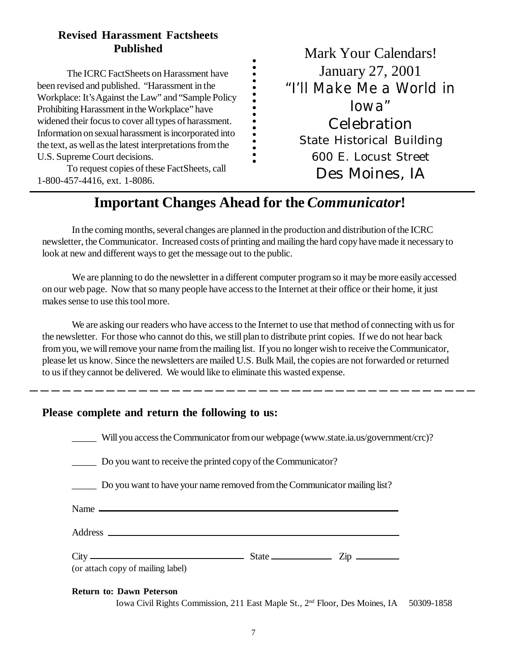### **Revised Harassment Factsheets Published**

The ICRC FactSheets on Harassment have been revised and published. "Harassment in the Workplace: It's Against the Law" and "Sample Policy Prohibiting Harassment in the Workplace" have widened their focus to cover all types of harassment. Information on sexual harassment is incorporated into the text, as well as the latest interpretations from the U.S. Supreme Court decisions.

To request copies of these FactSheets, call 1-800-457-4416, ext. 1-8086.

Mark Your Calendars! January 27, 2001 *"I'll Make Me a World in Iowa"* Celebration State Historical Building 600 E. Locust Street Des Moines, IA

# **Important Changes Ahead for the** *Communicator***!**

. . . . . . . . . . . . .

In the coming months, several changes are planned in the production and distribution of the ICRC newsletter, the Communicator. Increased costs of printing and mailing the hard copy have made it necessary to look at new and different ways to get the message out to the public.

We are planning to do the newsletter in a different computer program so it may be more easily accessed on our web page. Now that so many people have access to the Internet at their office or their home, it just makes sense to use this tool more.

We are asking our readers who have access to the Internet to use that method of connecting with us for the newsletter. For those who cannot do this, we still plan to distribute print copies. If we do not hear back from you, we will remove your name from the mailing list. If you no longer wish to receive the Communicator, please let us know. Since the newsletters are mailed U.S. Bulk Mail, the copies are not forwarded or returned to us if they cannot be delivered. We would like to eliminate this wasted expense.

#### **Please complete and return the following to us:**

| Will you access the Communicator from our webpage (www.state.ia.us/government/crc)?                                                                                                                                           |  |  |  |  |
|-------------------------------------------------------------------------------------------------------------------------------------------------------------------------------------------------------------------------------|--|--|--|--|
| Do you want to receive the printed copy of the Communicator?                                                                                                                                                                  |  |  |  |  |
| Do you want to have your name removed from the Communicator mailing list?                                                                                                                                                     |  |  |  |  |
| Name and the same state of the same state of the same state of the same state of the same state of the same state of the same state of the same state of the same state of the same state of the same state of the same state |  |  |  |  |
|                                                                                                                                                                                                                               |  |  |  |  |
| $City$ $—$ $State$ $Zip$ $—$<br>(or attach copy of mailing label)                                                                                                                                                             |  |  |  |  |

#### **Return to: Dawn Peterson**

Iowa Civil Rights Commission, 211 East Maple St., 2nd Floor, Des Moines, IA 50309-1858